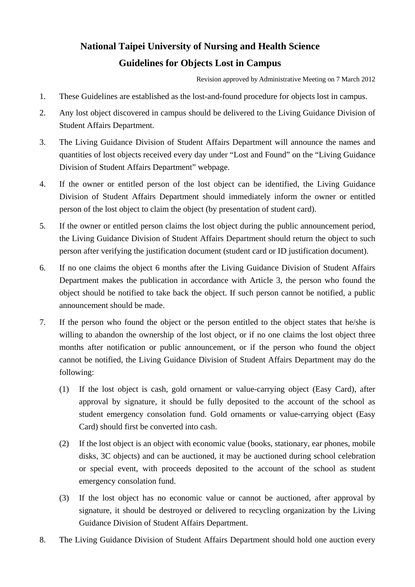## **National Taipei University of Nursing and Health Science Guidelines for Objects Lost in Campus**

Revision approved by Administrative Meeting on 7 March 2012

- 1. These Guidelines are established as the lost-and-found procedure for objects lost in campus.
- 2. Any lost object discovered in campus should be delivered to the Living Guidance Division of Student Affairs Department.
- 3. The Living Guidance Division of Student Affairs Department will announce the names and quantities of lost objects received every day under "Lost and Found" on the "Living Guidance Division of Student Affairs Department" webpage.
- 4. If the owner or entitled person of the lost object can be identified, the Living Guidance Division of Student Affairs Department should immediately inform the owner or entitled person of the lost object to claim the object (by presentation of student card).
- 5. If the owner or entitled person claims the lost object during the public announcement period, the Living Guidance Division of Student Affairs Department should return the object to such person after verifying the justification document (student card or ID justification document).
- 6. If no one claims the object 6 months after the Living Guidance Division of Student Affairs Department makes the publication in accordance with Article 3, the person who found the object should be notified to take back the object. If such person cannot be notified, a public announcement should be made.
- 7. If the person who found the object or the person entitled to the object states that he/she is willing to abandon the ownership of the lost object, or if no one claims the lost object three months after notification or public announcement, or if the person who found the object cannot be notified, the Living Guidance Division of Student Affairs Department may do the following:
	- (1) If the lost object is cash, gold ornament or value-carrying object (Easy Card), after approval by signature, it should be fully deposited to the account of the school as student emergency consolation fund. Gold ornaments or value-carrying object (Easy Card) should first be converted into cash.
	- (2) If the lost object is an object with economic value (books, stationary, ear phones, mobile disks, 3C objects) and can be auctioned, it may be auctioned during school celebration or special event, with proceeds deposited to the account of the school as student emergency consolation fund.
	- (3) If the lost object has no economic value or cannot be auctioned, after approval by signature, it should be destroyed or delivered to recycling organization by the Living Guidance Division of Student Affairs Department.
- 8. The Living Guidance Division of Student Affairs Department should hold one auction every